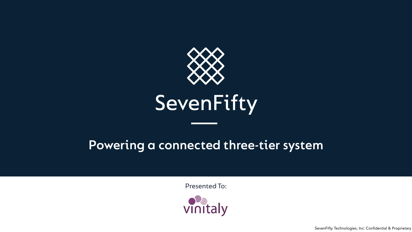

### **Powering a connected three-tier system**







# SevenFifty

Presented To:

SevenFifty Technologies, Inc: Confidential & Proprietary

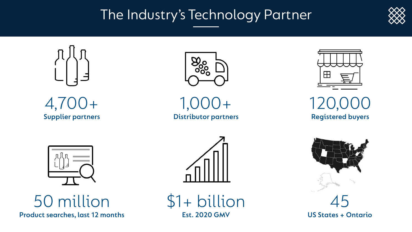### The Industry's Technology Partner

 $\bigcup$   $+$ **Distributor partners**



![](_page_1_Picture_1.jpeg)

![](_page_1_Picture_2.jpeg)

120,000 **Registered buyers**

![](_page_1_Picture_10.jpeg)

50 million **Product searches, last 12 months**

![](_page_1_Picture_6.jpeg)

\$1+ billion **Est. 2020 GMV**

![](_page_1_Picture_8.jpeg)

45 **US States + Ontario**

![](_page_1_Picture_12.jpeg)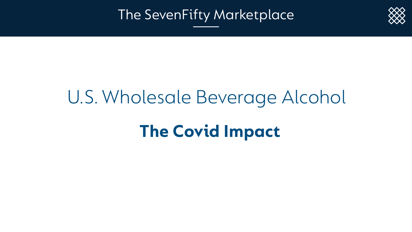# U.S. Wholesale Beverage Alcohol **The Covid Impact**

The SevenFifty Marketplace

![](_page_2_Picture_4.jpeg)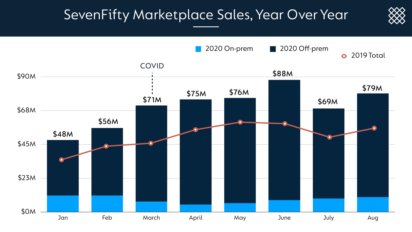### SevenFifty Marketplace Sales, Year Over Year

![](_page_3_Figure_1.jpeg)

![](_page_3_Picture_2.jpeg)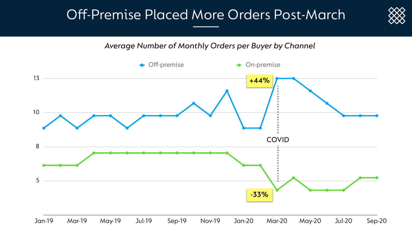![](_page_4_Figure_3.jpeg)

![](_page_4_Picture_4.jpeg)

### Off-Premise Placed More Orders Post-March

*Average Number of Monthly Orders per Buyer by Channel*

![](_page_4_Figure_2.jpeg)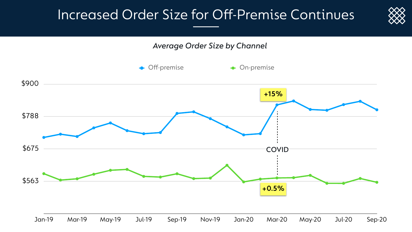![](_page_5_Picture_7.jpeg)

### Increased Order Size for Off-Premise Continues

![](_page_5_Figure_1.jpeg)

![](_page_5_Figure_2.jpeg)

![](_page_5_Figure_3.jpeg)

![](_page_5_Figure_4.jpeg)

*Average Order Size by Channel*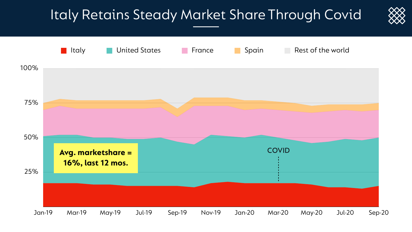### Italy Retains Steady Market Share Through Covid

![](_page_6_Figure_1.jpeg)

![](_page_6_Picture_2.jpeg)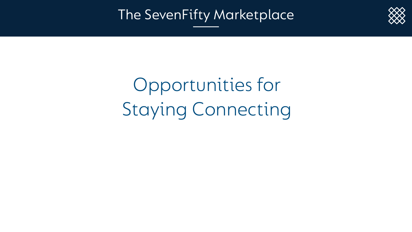# Opportunities for Staying Connecting

The SevenFifty Marketplace

![](_page_7_Picture_3.jpeg)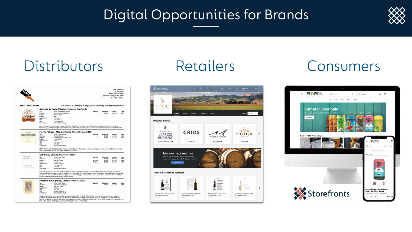## Digital Opportunities for Brands

### Distributors Retailers Consumers

|                                                 |                                                                                                                                                                                                                                                                                                                                                                                                                                     |                                                                                                                                                                                                                                                                                                                                                                                                                                                             |                                                                          | Sales Rep<br>Demo Distributing<br>jimi.hendrix@demo.com<br>917-555-5555 |                                       |                              |
|-------------------------------------------------|-------------------------------------------------------------------------------------------------------------------------------------------------------------------------------------------------------------------------------------------------------------------------------------------------------------------------------------------------------------------------------------------------------------------------------------|-------------------------------------------------------------------------------------------------------------------------------------------------------------------------------------------------------------------------------------------------------------------------------------------------------------------------------------------------------------------------------------------------------------------------------------------------------------|--------------------------------------------------------------------------|-------------------------------------------------------------------------|---------------------------------------|------------------------------|
| <b>Italy - New Arrivals!</b>                    |                                                                                                                                                                                                                                                                                                                                                                                                                                     |                                                                                                                                                                                                                                                                                                                                                                                                                                                             | Browse our full portfolio at https://www.sevenfifty.com/demodistributing |                                                                         |                                       |                              |
|                                                 |                                                                                                                                                                                                                                                                                                                                                                                                                                     | Azienda Agricola Miotto, Prosecco ProFondo                                                                                                                                                                                                                                                                                                                                                                                                                  |                                                                          |                                                                         |                                       |                              |
| <b>FRONZOOT</b><br>ProFondo                     | Type<br>Producer<br>Region<br>Grape<br>Appellation<br>Size<br><b>SKU</b><br>Distributor                                                                                                                                                                                                                                                                                                                                             | Wine - Sparkling - White<br>Azienda Agricola Miotto<br>Veneto, Italy<br>Glera<br>Prosecco<br>750 mL x 12<br>Profondo-750<br>Demo Distributing                                                                                                                                                                                                                                                                                                               | <b>Bottles</b><br>1                                                      | \$/bottle<br>12.00                                                      | \$/case<br>144.00                     | 5/oz<br>0.47                 |
|                                                 |                                                                                                                                                                                                                                                                                                                                                                                                                                     | After harvesting the grapes are separated from the stalks. The must and pulp undergo a cold maceration on the skins<br>followed by a light pressing to separate the skins. Fermentation takes place in stainless steel temperature controlled tanks.                                                                                                                                                                                                        |                                                                          |                                                                         |                                       |                              |
| <b>MONGEJS</b>                                  |                                                                                                                                                                                                                                                                                                                                                                                                                                     | Marco Felluga, Mongris Collio Pinot Grigio (2016)                                                                                                                                                                                                                                                                                                                                                                                                           |                                                                          |                                                                         |                                       |                              |
| 11111111<br><b>CONTRACTOR</b><br>MARCO PELLICAY | Type<br>Producer<br>Region<br>Grape<br>Appellation<br>Size                                                                                                                                                                                                                                                                                                                                                                          | Wine - Still - White<br>Marco Felluga<br>Friuli-Venezia Giulia, Italy<br>Pinot Grigio<br>Collio<br>750 mL × 12                                                                                                                                                                                                                                                                                                                                              | <b>Bottles</b><br>1<br>5                                                 | \$/bottle<br>14.00<br>12.60                                             | \$/case<br>168.00<br>151.20           | \$/oz<br>0.55<br>0.50        |
|                                                 | <b>SKU</b><br>Distributor                                                                                                                                                                                                                                                                                                                                                                                                           | SV1407<br>Demo Distributing<br>100% Pinot Grigio. The Collio's hilly terrain, formed during the Eocene period, is composed of layers of sandstone and loam<br>rock (limestone and clay) that were once the ocean floor.                                                                                                                                                                                                                                     |                                                                          |                                                                         |                                       |                              |
|                                                 |                                                                                                                                                                                                                                                                                                                                                                                                                                     | Candialle, Chianti Classico (2009)                                                                                                                                                                                                                                                                                                                                                                                                                          |                                                                          |                                                                         |                                       |                              |
| Candialle<br>Chiami Classico<br>How can show    | Type.<br>Producer<br>Region<br>Grape<br>Appellation<br>Size<br>SKU.<br>Distributor                                                                                                                                                                                                                                                                                                                                                  | Wine - Still - Red<br>Candialle<br>Tuscany, Italy<br>Sanglovese<br>Chianti Classico<br>750 mL × 12<br>SF0350<br>Demo Distributing                                                                                                                                                                                                                                                                                                                           | <b>Bottles</b><br>Ŧ<br>60 (5cs)<br>72(6cs)                               | <b>s/bottle</b><br>21.67<br>21.00<br>20.00                              | \$/case<br>260.00<br>252.00<br>240.00 | 5/oz<br>0.85<br>0.83<br>0.79 |
|                                                 | Now run by husband and wife (German/Finnish) team of Josephin Cramer and Jarkko Peranen, Candialle was, long before<br>their arrival, a wine-producing farm. However, in its original form (from Roman times onwards) it produced many agricultural<br>goods and—like most Tuscan farms or podere—supplyied bigger estates with various agricultural products. Then, in 2002,<br>Candialle was founded as an estate-bottled winery. |                                                                                                                                                                                                                                                                                                                                                                                                                                                             |                                                                          |                                                                         |                                       |                              |
| <b>GRIGNANO</b>                                 | Fattoria di Grignano, Chianti Rufina (2016)                                                                                                                                                                                                                                                                                                                                                                                         |                                                                                                                                                                                                                                                                                                                                                                                                                                                             |                                                                          |                                                                         |                                       |                              |
| <b>CONTRACTOR</b>                               | Type<br>Producer<br>Region<br>Appellation<br>Size<br>SKU<br>Distributor                                                                                                                                                                                                                                                                                                                                                             | Wine - Still - Red<br>Fattoria di Grignano<br>Tuscany, Italy<br>Chianti<br>750 mL × 12<br>GrignanoRufina-16<br>Demo Distributing                                                                                                                                                                                                                                                                                                                            | <b>Bottles</b>                                                           | oottle<br>12.00                                                         | \$/case<br>144.00                     | \$/oz<br>0.47                |
|                                                 |                                                                                                                                                                                                                                                                                                                                                                                                                                     | Organically farmed and manually-harvested vineyards with yields at 35hi/ha. The wine was fermented in open topped<br>stainless steel fermentation vats and Malolactic fermentation took place in barrel. Aged 18 months in 228 liter Burgundy<br>barrels, 20% of which were new. Medium bodied with excellent persistence and depth. Rich on the palate with the classic red<br>fruit notes typical of Sangiovese. This is the flagship wine of the estate. |                                                                          |                                                                         |                                       |                              |

![](_page_8_Picture_4.jpeg)

![](_page_8_Picture_7.jpeg)

![](_page_8_Picture_8.jpeg)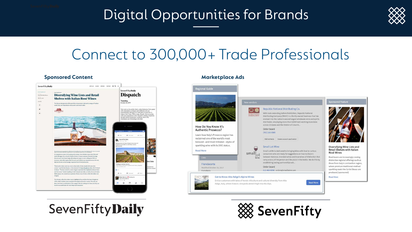## Digital Opportunities for Brands

## Connect to 300,000+ Trade Professionals

### **Sponsored Content**

![](_page_9_Picture_4.jpeg)

### SevenFiftyDaily

### **Marketplace Ads**

### egional Guide

![](_page_9_Picture_8.jpeg)

### How Do You Know It's **Authentic Prosecco?**

Learn how Italy's Prosecco region has reclaimed one of the world's most beloved-and most imitated-styles of sparkling wine with its DOC status.

### **Read More**

### ists

### Franciacorta

Modified October 23, 2017 4 products

### Get to Know Alto Adige's Alpine Wines

Entice customers with tales of heroic viticulture and cultural diversity from Alto Adige, Italy, where historic vinevards stretch high into the Alps.

small

wine

lew vendors

 $\circ$ 

INTERNATIVE COMPANY

![](_page_9_Picture_17.jpeg)

![](_page_9_Picture_18.jpeg)

Republic National Distributing Co.

across 22 states and the District of Columb...

Add contacts Create account application

establishing lasting partnerships wit...

612-466-0096 · orders@smalllotmn.om

Order board

(701) 282-0985

Small Lot Wine

Order board

With roots extending before Prohibition, Republic National

Distributing Company (RNDC) is a family-owned business that has

evolved into the nation's second largest wholesale wine and spirits distributor, employing more than 9,000 hard-working Associates

Small Lot Mn is dedicated to bringing Wine with Soul to curious

between National, branded wines and true wines of distinction that

carry a story of the person and the place in the bottle. We do this by

consumers who are ready for suggestions on how to discern

### ponsored Feature

![](_page_9_Picture_20.jpeg)

### Diversifying Wine Lists and Retail Shelves with Italian Rosé Wines

Rosé lovers are increasingly craving distinctive regional offerings such as those from Italy's Lombardian region, where premium traditional-method sparkling rosés like Ca'del Bosco are produced.[sponsored]

### Read More

![](_page_9_Picture_24.jpeg)